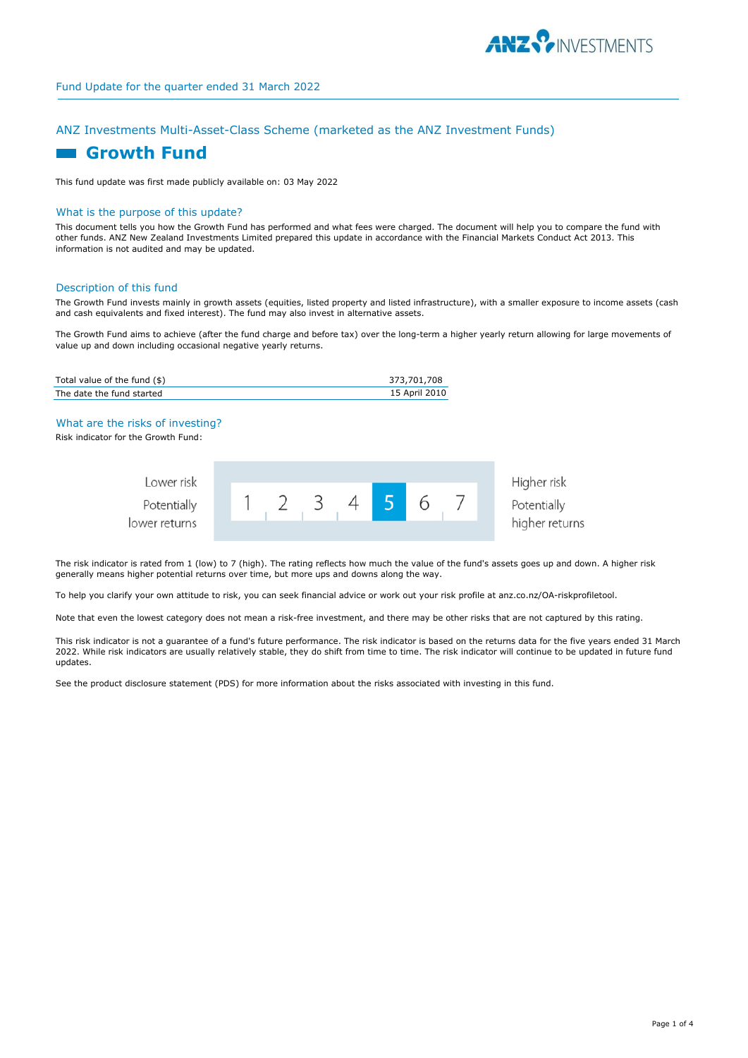

# ANZ Investments Multi-Asset-Class Scheme (marketed as the ANZ Investment Funds)

# **Growth Fund**

This fund update was first made publicly available on: 03 May 2022

### What is the purpose of this update?

This document tells you how the Growth Fund has performed and what fees were charged. The document will help you to compare the fund with other funds. ANZ New Zealand Investments Limited prepared this update in accordance with the Financial Markets Conduct Act 2013. This information is not audited and may be updated.

#### Description of this fund

The Growth Fund invests mainly in growth assets (equities, listed property and listed infrastructure), with a smaller exposure to income assets (cash and cash equivalents and fixed interest). The fund may also invest in alternative assets.

The Growth Fund aims to achieve (after the fund charge and before tax) over the long-term a higher yearly return allowing for large movements of value up and down including occasional negative yearly returns.

| Total value of the fund $(\$)$ | 373,701,708   |
|--------------------------------|---------------|
| The date the fund started      | 15 April 2010 |

#### What are the risks of investing?

Risk indicator for the Growth Fund:

| Lower risk<br>Potentially |  |  |  |  | Higher risk<br>Potentially |
|---------------------------|--|--|--|--|----------------------------|
| lower returns             |  |  |  |  | higher returns             |

The risk indicator is rated from 1 (low) to 7 (high). The rating reflects how much the value of the fund's assets goes up and down. A higher risk generally means higher potential returns over time, but more ups and downs along the way.

To help you clarify your own attitude to risk, you can seek financial advice or work out your risk profile at anz.co.nz/OA-riskprofiletool.

Note that even the lowest category does not mean a risk-free investment, and there may be other risks that are not captured by this rating.

This risk indicator is not a guarantee of a fund's future performance. The risk indicator is based on the returns data for the five years ended 31 March 2022. While risk indicators are usually relatively stable, they do shift from time to time. The risk indicator will continue to be updated in future fund updates.

See the product disclosure statement (PDS) for more information about the risks associated with investing in this fund.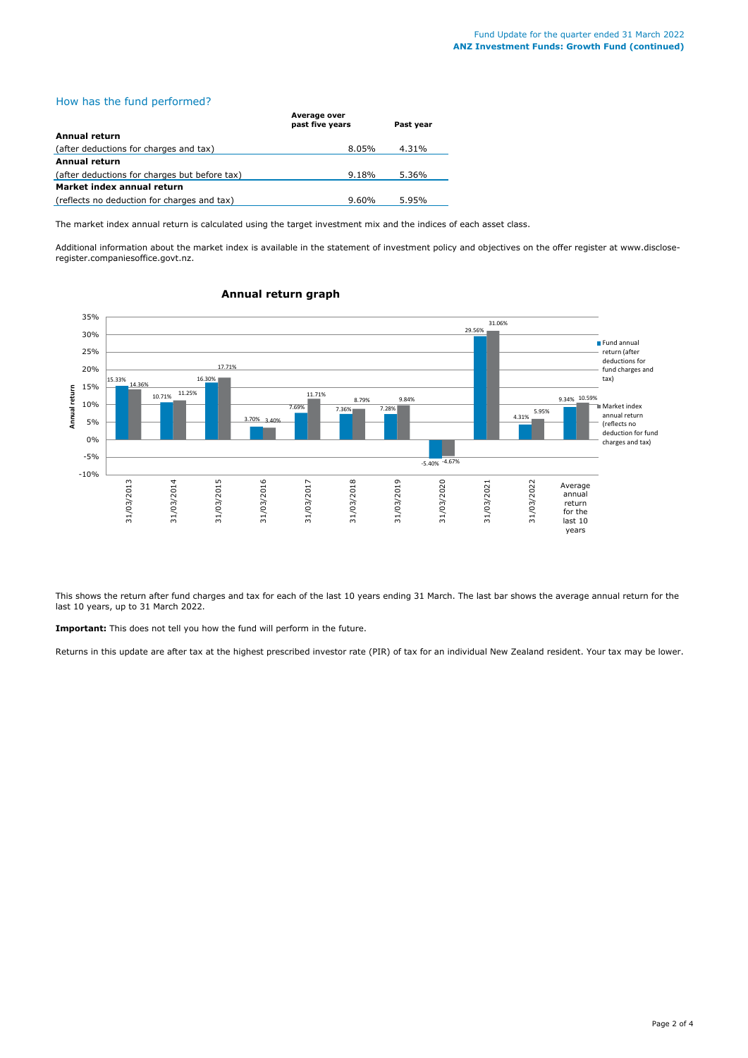# How has the fund performed?

|                                               | .<br>past five years | Past vear |
|-----------------------------------------------|----------------------|-----------|
| Annual return                                 |                      |           |
| (after deductions for charges and tax)        | $8.05\%$             | 4.31%     |
| Annual return                                 |                      |           |
| (after deductions for charges but before tax) | $9.18\%$             | 5.36%     |
| Market index annual return                    |                      |           |
| (reflects no deduction for charges and tax)   | 9.60%                | 5.95%     |

The market index annual return is calculated using the target investment mix and the indices of each asset class.

**Average over** 

Additional information about the market index is available in the statement of investment policy and objectives on the offer register at www.discloseregister.companiesoffice.govt.nz.



# **Annual return graph**

This shows the return after fund charges and tax for each of the last 10 years ending 31 March. The last bar shows the average annual return for the last 10 years, up to 31 March 2022.

**Important:** This does not tell you how the fund will perform in the future.

Returns in this update are after tax at the highest prescribed investor rate (PIR) of tax for an individual New Zealand resident. Your tax may be lower.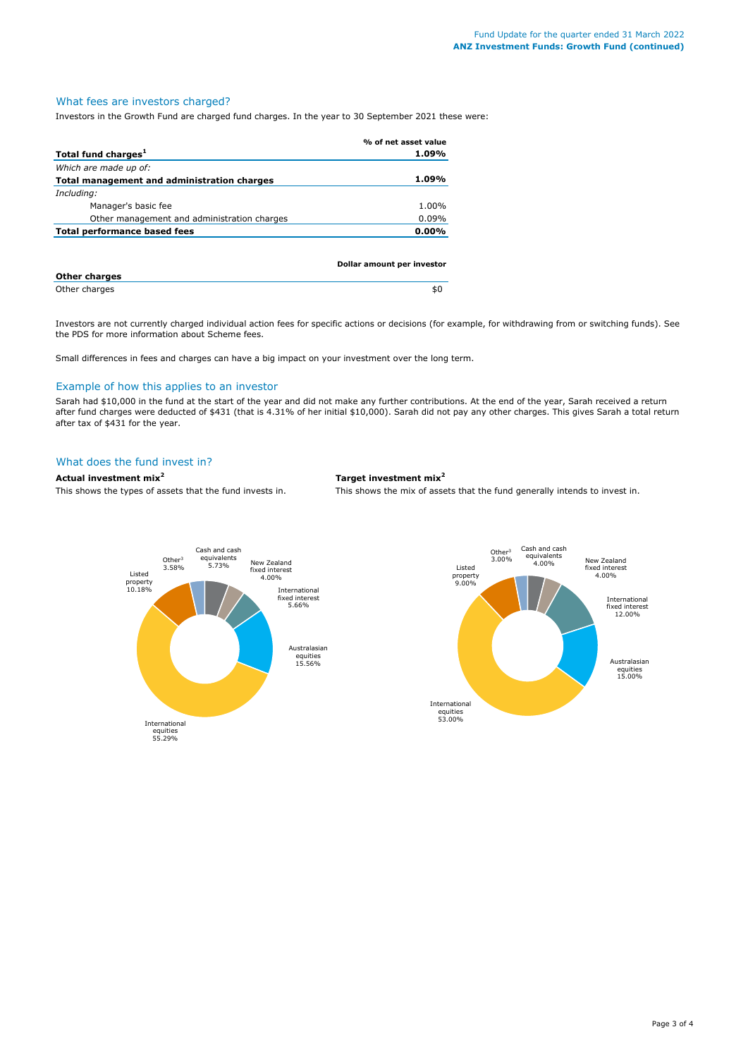# What fees are investors charged?

Investors in the Growth Fund are charged fund charges. In the year to 30 September 2021 these were:

|                                             | % of net asset value       |
|---------------------------------------------|----------------------------|
| Total fund charges <sup>1</sup>             | 1.09%                      |
| Which are made up of:                       |                            |
| Total management and administration charges | 1.09%                      |
| Including:                                  |                            |
| Manager's basic fee                         | 1.00%                      |
| Other management and administration charges | 0.09%                      |
| <b>Total performance based fees</b>         | $0.00\%$                   |
|                                             |                            |
|                                             | Dollar amount per investor |
| <b>Other charges</b>                        |                            |
| Other charges                               | \$0                        |

Investors are not currently charged individual action fees for specific actions or decisions (for example, for withdrawing from or switching funds). See the PDS for more information about Scheme fees.

Small differences in fees and charges can have a big impact on your investment over the long term.

# Example of how this applies to an investor

Sarah had \$10,000 in the fund at the start of the year and did not make any further contributions. At the end of the year, Sarah received a return after fund charges were deducted of \$431 (that is 4.31% of her initial \$10,000). Sarah did not pay any other charges. This gives Sarah a total return after tax of \$431 for the year.

#### What does the fund invest in?

# **Actual investment mix<sup>2</sup> Target investment mix<sup>2</sup>**

This shows the types of assets that the fund invests in. This shows the mix of assets that the fund generally intends to invest in.